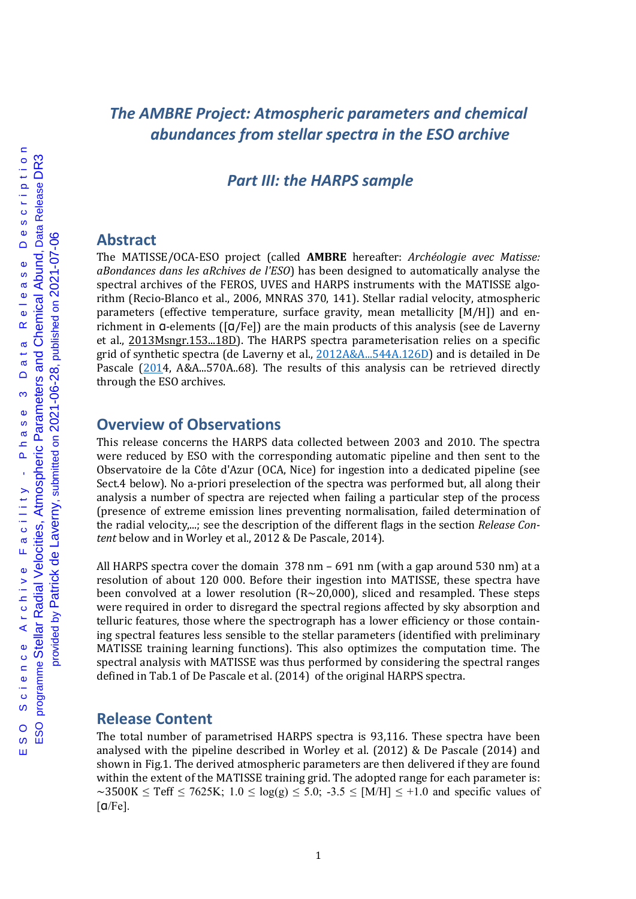# *The AMBRE Project: Atmospheric parameters and chemical abundances from stellar spectra in the ESO archive*

## *Part III: the HARPS sample*

### **Abstract**

The MATISSE/OCA-ESO project (called **AMBRE** hereafter: *Archéologie avec Matisse: aBondances dans les aRchives de l'ESO*) has been designed to automatically analyse the spectral archives of the FEROS, UVES and HARPS instruments with the MATISSE algorithm (Recio-Blanco et al., 2006, MNRAS 370, 141). Stellar radial velocity, atmospheric parameters (effective temperature, surface gravity, mean metallicity  $[M/H]$ ) and enrichment in  $\alpha$ -elements  $\left(\lceil \alpha / \text{Fe} \rceil \right)$  are the main products of this analysis (see de Laverny et al., 2013Msngr.153...18D). The HARPS spectra parameterisation relies on a specific grid of synthetic spectra (de Laverny et al., 2012A&A...544A.126D) and is detailed in De Pascale  $(2014, A&A...570A..68)$ . The results of this analysis can be retrieved directly through the ESO archives.

## **Overview of Observations**

This release concerns the HARPS data collected between 2003 and 2010. The spectra were reduced by ESO with the corresponding automatic pipeline and then sent to the Observatoire de la Côte d'Azur (OCA, Nice) for ingestion into a dedicated pipeline (see Sect.4 below). No a-priori preselection of the spectra was performed but, all along their analysis a number of spectra are rejected when failing a particular step of the process (presence of extreme emission lines preventing normalisation, failed determination of the radial velocity,...; see the description of the different flags in the section *Release Content* below and in Worley et al., 2012 & De Pascale, 2014).

All HARPS spectra cover the domain  $378$  nm – 691 nm (with a gap around 530 nm) at a resolution of about 120 000. Before their ingestion into MATISSE, these spectra have been convolved at a lower resolution  $(R~20,000)$ , sliced and resampled. These steps were required in order to disregard the spectral regions affected by sky absorption and telluric features, those where the spectrograph has a lower efficiency or those containing spectral features less sensible to the stellar parameters (identified with preliminary MATISSE training learning functions). This also optimizes the computation time. The spectral analysis with MATISSE was thus performed by considering the spectral ranges defined in Tab.1 of De Pascale et al. (2014) of the original HARPS spectra.

### **Release Content**

The total number of parametrised HARPS spectra is 93,116. These spectra have been analysed with the pipeline described in Worley et al.  $(2012)$  & De Pascale  $(2014)$  and shown in Fig.1. The derived atmospheric parameters are then delivered if they are found within the extent of the MATISSE training grid. The adopted range for each parameter is: ~3500K  $\leq$  Teff  $\leq$  7625K; 1.0  $\leq$  log(g)  $\leq$  5.0; -3.5  $\leq$  [M/H]  $\leq$  +1.0 and specific values of  $\lceil \frac{a}{Fe} \rceil$ .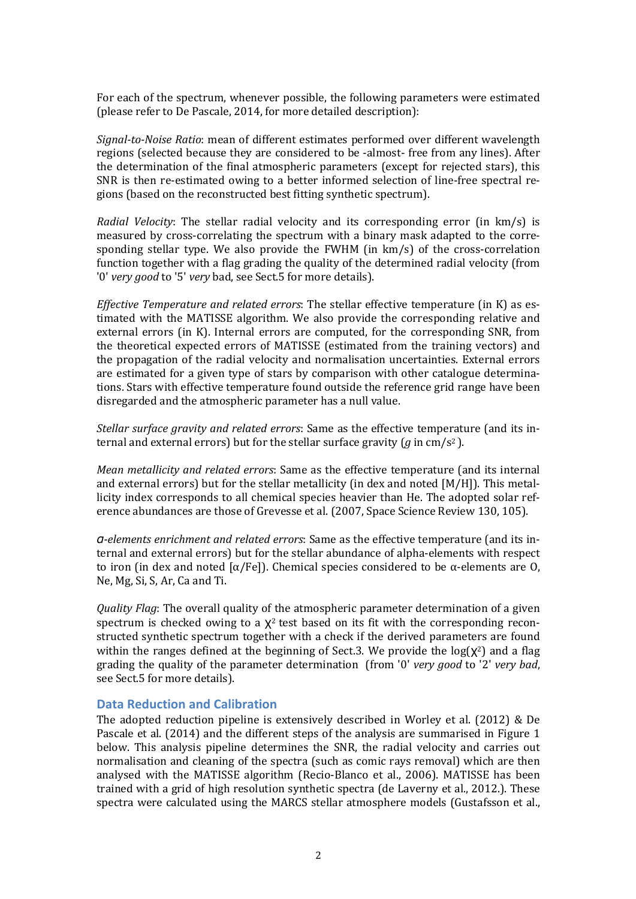For each of the spectrum, whenever possible, the following parameters were estimated (please refer to De Pascale, 2014, for more detailed description):

*Signal-to-Noise Ratio*: mean of different estimates performed over different wavelength regions (selected because they are considered to be -almost- free from any lines). After the determination of the final atmospheric parameters (except for rejected stars), this SNR is then re-estimated owing to a better informed selection of line-free spectral regions (based on the reconstructed best fitting synthetic spectrum).

*Radial Velocity*: The stellar radial velocity and its corresponding error (in km/s) is measured by cross-correlating the spectrum with a binary mask adapted to the corresponding stellar type. We also provide the FWHM (in  $km/s$ ) of the cross-correlation function together with a flag grading the quality of the determined radial velocity (from '0' *very good* to '5' *very* bad, see Sect.5 for more details).

*Effective Temperature and related errors*: The stellar effective temperature (in K) as estimated with the MATISSE algorithm. We also provide the corresponding relative and external errors  $(in K)$ . Internal errors are computed, for the corresponding SNR, from the theoretical expected errors of MATISSE (estimated from the training vectors) and the propagation of the radial velocity and normalisation uncertainties. External errors are estimated for a given type of stars by comparison with other catalogue determinations. Stars with effective temperature found outside the reference grid range have been disregarded and the atmospheric parameter has a null value.

*Stellar surface aravity and related errors:* Same as the effective temperature (and its internal and external errors) but for the stellar surface gravity  $\frac{q}{q}$  in cm/s<sup>2</sup>).

*Mean metallicity and related errors*: Same as the effective temperature (and its internal and external errors) but for the stellar metallicity (in dex and noted  $[M/H]$ ). This metallicity index corresponds to all chemical species heavier than He. The adopted solar reference abundances are those of Grevesse et al. (2007, Space Science Review 130, 105).

*α-elements enrichment and related errors*: Same as the effective temperature (and its internal and external errors) but for the stellar abundance of alpha-elements with respect to iron (in dex and noted  $\lceil \alpha / \text{Fe} \rceil$ ). Chemical species considered to be  $\alpha$ -elements are O, Ne, Mg, Si, S, Ar, Ca and Ti.

*Quality Flag*: The overall quality of the atmospheric parameter determination of a given spectrum is checked owing to a  $\chi^2$  test based on its fit with the corresponding reconstructed synthetic spectrum together with a check if the derived parameters are found within the ranges defined at the beginning of Sect.3. We provide the  $log(\chi^2)$  and a flag grading the quality of the parameter determination (from '0' *very good* to '2' *very bad*, see Sect.5 for more details).

#### **Data Reduction and Calibration**

The adopted reduction pipeline is extensively described in Worley et al.  $(2012)$  & De Pascale et al. (2014) and the different steps of the analysis are summarised in Figure 1 below. This analysis pipeline determines the SNR, the radial velocity and carries out normalisation and cleaning of the spectra (such as comic rays removal) which are then analysed with the MATISSE algorithm (Recio-Blanco et al., 2006). MATISSE has been trained with a grid of high resolution synthetic spectra (de Laverny et al., 2012.). These spectra were calculated using the MARCS stellar atmosphere models (Gustafsson et al.,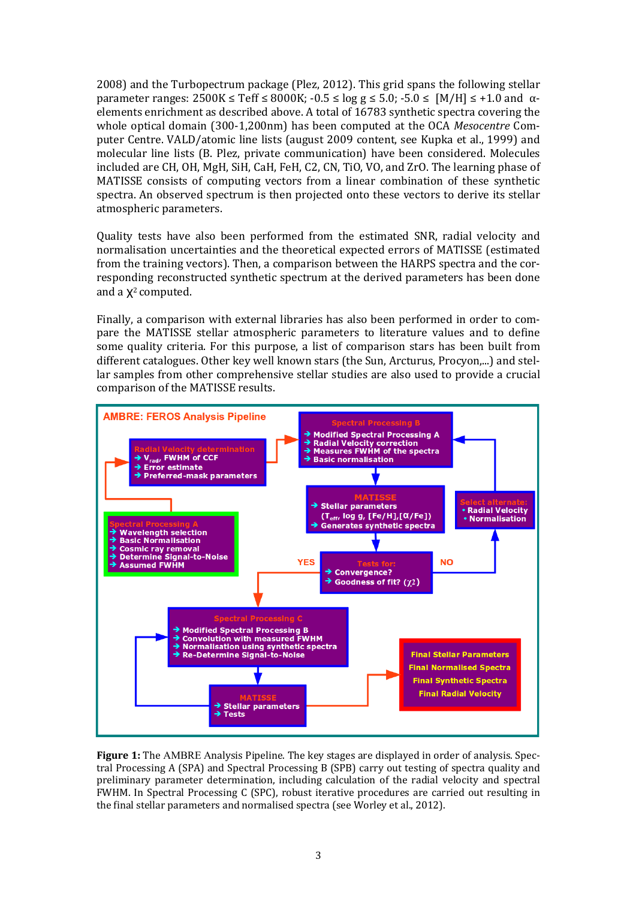$2008$ ) and the Turbopectrum package (Plez, 2012). This grid spans the following stellar parameter ranges:  $2500K \leq Teff \leq 8000K$ ;  $-0.5 \leq log g \leq 5.0$ ;  $-5.0 \leq [M/H] \leq +1.0$  and  $\alpha$ elements enrichment as described above. A total of 16783 synthetic spectra covering the whole optical domain (300-1,200nm) has been computed at the OCA *Mesocentre* Computer Centre. VALD/atomic line lists (august 2009 content, see Kupka et al., 1999) and molecular line lists (B. Plez, private communication) have been considered. Molecules included are CH, OH, MgH, SiH, CaH, FeH, C2, CN, TiO, VO, and ZrO. The learning phase of MATISSE consists of computing vectors from a linear combination of these synthetic spectra. An observed spectrum is then projected onto these vectors to derive its stellar atmospheric parameters.

Quality tests have also been performed from the estimated SNR, radial velocity and normalisation uncertainties and the theoretical expected errors of MATISSE (estimated from the training vectors). Then, a comparison between the HARPS spectra and the corresponding reconstructed synthetic spectrum at the derived parameters has been done and a  $X^2$  computed.

Finally, a comparison with external libraries has also been performed in order to compare the MATISSE stellar atmospheric parameters to literature values and to define some quality criteria. For this purpose, a list of comparison stars has been built from different catalogues. Other key well known stars (the Sun, Arcturus, Procyon,...) and stellar samples from other comprehensive stellar studies are also used to provide a crucial comparison of the MATISSE results.



**Figure 1:** The AMBRE Analysis Pipeline. The key stages are displayed in order of analysis. Spectral Processing A (SPA) and Spectral Processing B (SPB) carry out testing of spectra quality and preliminary parameter determination, including calculation of the radial velocity and spectral FWHM. In Spectral Processing C (SPC), robust iterative procedures are carried out resulting in the final stellar parameters and normalised spectra (see Worley et al., 2012).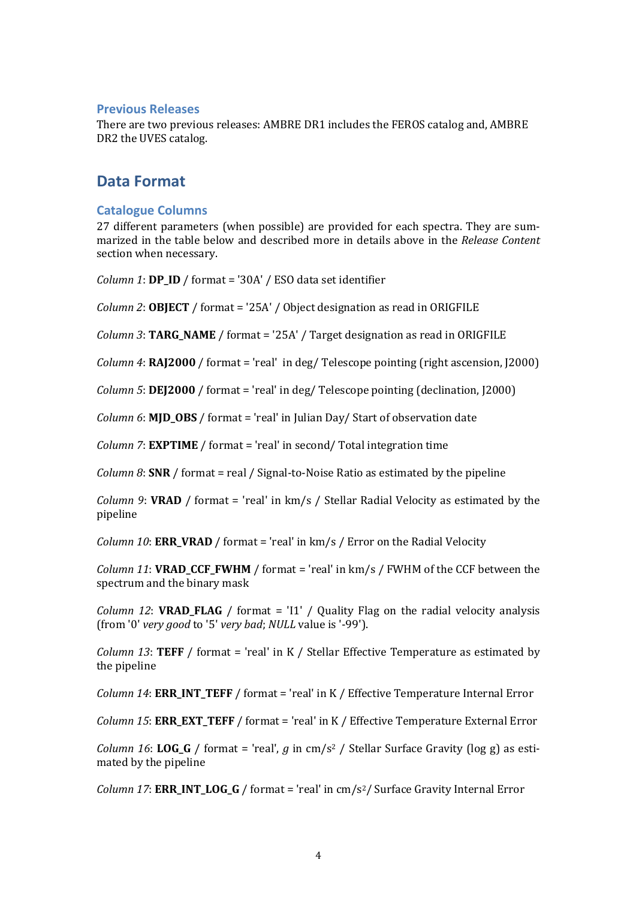#### **Previous Releases**

There are two previous releases: AMBRE DR1 includes the FEROS catalog and, AMBRE DR2 the UVES catalog.

## **Data Format**

### **Catalogue Columns**

27 different parameters (when possible) are provided for each spectra. They are summarized in the table below and described more in details above in the *Release Content* section when necessary.

*Column 1*:  $DP\_ID / format = '30A' / ESO data set identifier$ 

*Column* 2: **OBJECT** / format = '25A' / Object designation as read in ORIGFILE

*Column* 3: **TARG\_NAME** / format = '25A' / Target designation as read in ORIGFILE

*Column* 4:  $RA$ [2000 / format = 'real' in deg/ Telescope pointing (right ascension, [2000]

*Column* 5:  $DE[2000 /$  format = 'real' in deg/ Telescope pointing (declination, [2000)

*Column* 6: **MJD\_OBS** / format = 'real' in Julian Day/ Start of observation date

*Column 7*: **EXPTIME** / format = 'real' in second/ Total integration time

*Column* 8: **SNR** / format = real / Signal-to-Noise Ratio as estimated by the pipeline

*Column* 9: **VRAD** / format = 'real' in  $km/s$  / Stellar Radial Velocity as estimated by the pipeline

*Column 10*: **ERR\_VRAD** / format = 'real' in  $km/s$  / Error on the Radial Velocity

*Column* 11: **VRAD\_CCF\_FWHM** / format = 'real' in  $km/s$  / FWHM of the CCF between the spectrum and the binary mask

*Column 12*: **VRAD\_FLAG** / format = 'I1' / Quality Flag on the radial velocity analysis (from '0' *very good* to '5' *very bad*; *NULL* value is '-99').

*Column 13*: **TEFF** / format = 'real' in K / Stellar Effective Temperature as estimated by the pipeline

*Column 14*: **ERR\_INT\_TEFF** / format = 'real' in K / Effective Temperature Internal Error

*Column 15*: **ERR\_EXT\_TEFF** / format = 'real' in K / Effective Temperature External Error

*Column* 16: LOG\_G / format = 'real',  $g$  in cm/s<sup>2</sup> / Stellar Surface Gravity (log g) as estimated by the pipeline

*Column 17*: **ERR INT LOG G** / format = 'real' in  $\text{cm/s}^2$ / Surface Gravity Internal Error